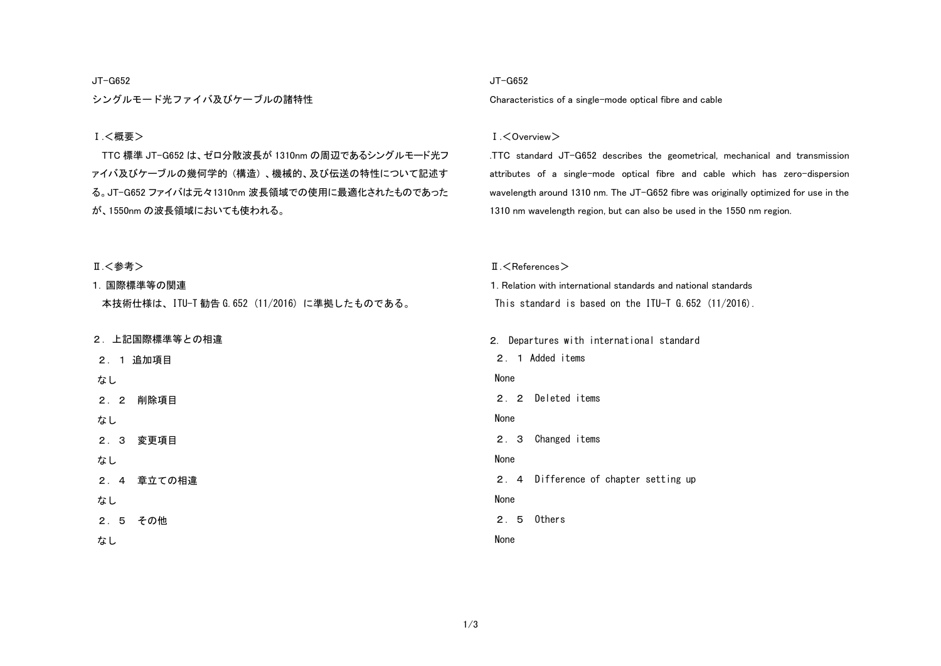## JT-G652

シングルモード光ファイバ及びケーブルの諸特性

# Ⅰ.<概要>

TTC 標準 JT-G652 は、ゼロ分散波長が 1310nm の周辺であるシングルモード光フ ァイバ及びケーブルの幾何学的 (構造) 、機械的、及び伝送の特性について記述す る。JT-G652 ファイバは元々1310nm 波長領域での使用に最適化されたものであった が、1550nm の波長領域においても使われる。

#### JT-G652

Characteristics of a single-mode optical fibre and cable

#### Ⅰ.<Overview>

.TTC standard JT-G652 describes the geometrical, mechanical and transmission attributes of a single-mode optical fibre and cable which has zero-dispersion wavelength around 1310 nm. The JT-G652 fibre was originally optimized for use in the 1310 nm wavelength region, but can also be used in the 1550 nm region.

| Ⅱ.<参考>                                       | $\text{II}$ . $\leq$ References $>$                             |  |  |
|----------------------------------------------|-----------------------------------------------------------------|--|--|
| 1. 国際標準等の関連                                  | 1. Relation with international standards and national standards |  |  |
| 本技術仕様は、ITU-T 勧告 G. 652 (11/2016) に準拠したものである。 | This standard is based on the ITU-T $6.652$ (11/2016).          |  |  |
|                                              |                                                                 |  |  |
| 2. 上記国際標準等との相違                               | 2. Departures with international standard                       |  |  |
| 追加項目<br>2.1                                  | 2. 1 Added items                                                |  |  |
| なし                                           | None                                                            |  |  |
| 削除項目<br>2.2                                  | Deleted items<br>2.2                                            |  |  |
| なし                                           | None                                                            |  |  |
| 変更項目<br>2.3                                  | Changed items<br>2.3                                            |  |  |
| なし                                           | None                                                            |  |  |
| 章立ての相違<br>2.4                                | 2. 4 Difference of chapter setting up                           |  |  |
| なし                                           | None                                                            |  |  |
| 2.5<br>その他                                   | Others<br>2.5                                                   |  |  |
| なし                                           | None                                                            |  |  |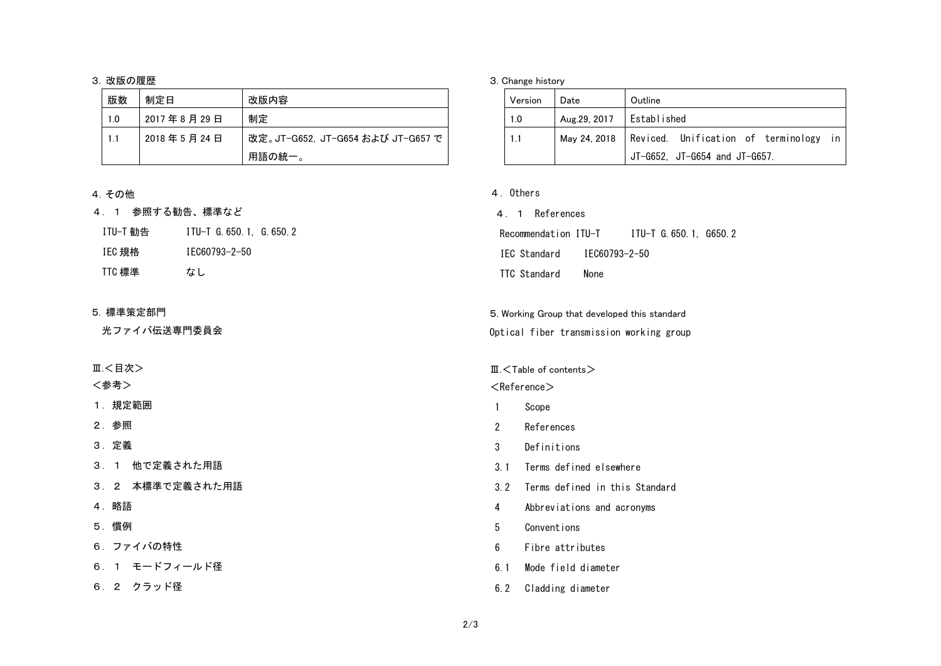## 3. 改版の履歴

| 版数  | 制定日        | 改版内容                              |
|-----|------------|-----------------------------------|
| 1.0 | 2017年8月29日 | 制定                                |
| 1.1 | 2018年5月24日 | 改定。JT-G652, JT-G654 および JT-G657 で |
|     |            | 用語の統一。                            |

# 4.その他

# 4.1 参照する勧告、標準など

| ITU-T 勧告 | ITU-T G. 650. 1. G. 650. 2 |
|----------|----------------------------|
| IEC 規格   | IFC60793-2-50              |
| TTC 標準   | なし                         |

# 5. 標準策定部門

光ファイバ伝送専門委員会

Ⅲ.<目次>

<参考>

1.規定範囲

2.参照

3.定義

3.1 他で定義された用語

- 3.2 本標準で定義された用語
- 4.略語

5.慣例

6.ファイバの特性

6.1 モードフィールド径

6.2 クラッド径

## 3. Change history

| Version | Date                       | Outline                                               |
|---------|----------------------------|-------------------------------------------------------|
| 1.0     | Aug.29, 2017   Established |                                                       |
| 1.1     |                            | May 24, 2018   Reviced. Unification of terminology in |
|         |                            | $\vert$ JT-G652, JT-G654 and JT-G657.                 |

# 4.Others

4.1 References Recommendation ITU-T ITU-T G. 650.1, G650.2 IEC Standard IEC60793-2-50 TTC Standard None

5. Working Group that developed this standard Optical fiber transmission working group

## Ⅲ.<Table of contents>

 $<$ Reference $>$ 

- 1 Scope
- 2 References
- 3 Definitions
- 3.1 Terms defined elsewhere
- 3.2 Terms defined in this Standard
- 4 Abbreviations and acronyms
- 5 Conventions
- 6 Fibre attributes
- 6.1 Mode field diameter
- 6.2 Cladding diameter